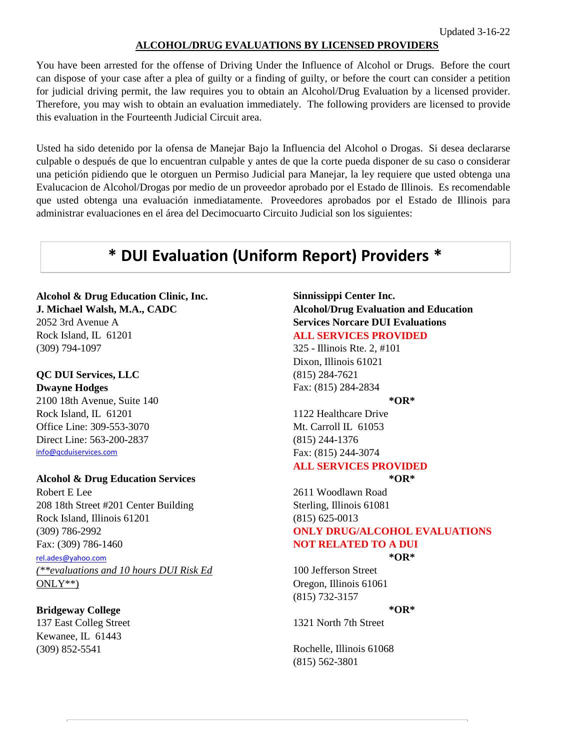### **ALCOHOL/DRUG EVALUATIONS BY LICENSED PROVIDERS**

You have been arrested for the offense of Driving Under the Influence of Alcohol or Drugs. Before the court can dispose of your case after a plea of guilty or a finding of guilty, or before the court can consider a petition for judicial driving permit, the law requires you to obtain an Alcohol/Drug Evaluation by a licensed provider. Therefore, you may wish to obtain an evaluation immediately. The following providers are licensed to provide this evaluation in the Fourteenth Judicial Circuit area.

Usted ha sido detenido por la ofensa de Manejar Bajo la Influencia del Alcohol o Drogas. Si desea declararse culpable o después de que lo encuentran culpable y antes de que la corte pueda disponer de su caso o considerar una petición pidiendo que le otorguen un Permiso Judicial para Manejar, la ley requiere que usted obtenga una Evalucacion de Alcohol/Drogas por medio de un proveedor aprobado por el Estado de Illinois. Es recomendable que usted obtenga una evaluación inmediatamente. Proveedores aprobados por el Estado de Illinois para administrar evaluaciones en el área del Decimocuarto Circuito Judicial son los siguientes:

## **\* DUI Evaluation (Uniform Report) Providers \***

## **Alcohol & Drug Education Clinic, Inc. Sinnissippi Center Inc.**

Rock Island, IL 61201 **ALL SERVICES PROVIDED** (309) 794-1097 325 - Illinois Rte. 2, #101

## **QC DUI Services, LLC** (815) 284-7621

2100 18th Avenue, Suite 140 **\*OR\*** Rock Island, IL 61201 1122 Healthcare Drive Office Line: 309-553-3070 Mt. Carroll IL 61053 Direct Line: 563-200-2837 (815) 244-1376 [info@qcduiservices.com](mailto:info@qcduiservices.com) Fax: (815) 244-3074

### **Alcohol & Drug Education Services \*OR\***

Robert E Lee 2611 Woodlawn Road 208 18th Street #201 Center Building Sterling, Illinois 61081 Rock Island, Illinois 61201 (815) 625-0013 Fax: (309) 786-1460 **NOT RELATED TO A DUI** 

*(\*\*evaluations and 10 hours DUI Risk Ed* 100 Jefferson Street ONLY\*\*) Oregon, Illinois 61061

### **Bridgeway College \*OR\***

137 East Colleg Street 1321 North 7th Street Kewanee, IL 61443

## **J. Michael Walsh, M.A., CADC Alcohol/Drug Evaluation and Education** 2052 3rd Avenue A **Services Norcare DUI Evaluations**

Dixon, Illinois 61021 **Dwayne Hodges** Fax: (815) 284-2834

## **ALL SERVICES PROVIDED**

(309) 786-2992 **ONLY DRUG/ALCOHOL EVALUATIONS** [rel.ades@yahoo.com](mailto:rel.ades@yahoo.com) **\*OR\***

(815) 732-3157

(309) 852-5541 Rochelle, Illinois 61068 (815) 562-3801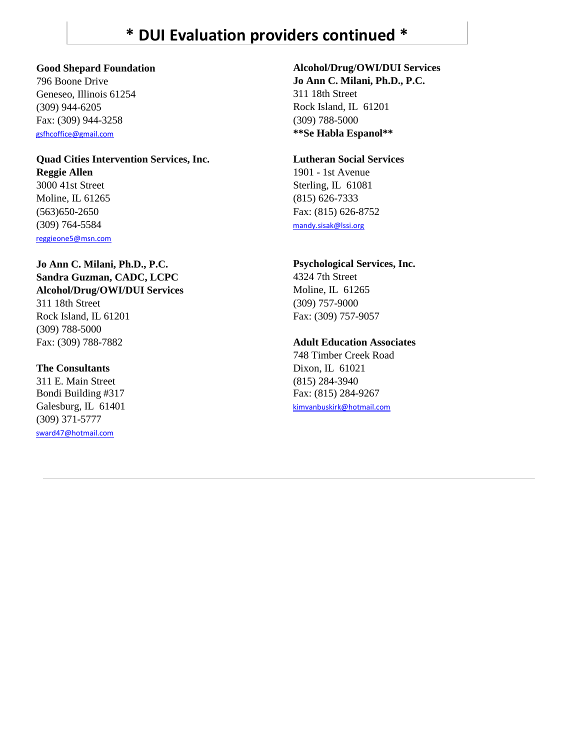## **\* DUI Evaluation providers continued \***

796 Boone Drive **Jo Ann C. Milani, Ph.D., P.C.** Geneseo, Illinois 61254 311 18th Street (309) 944-6205 Rock Island, IL 61201 Fax: (309) 944-3258 (309) 788-5000 [gsfhcoffice@gmail.com](mailto:gsfhcoffice@gmail.com) **\*\*Se Habla Espanol\*\***

### **Quad Cities Intervention Services, Inc. Lutheran Social Services Reggie Allen** 1901 - 1st Avenue 3000 41st Street Sterling, IL 61081

Moline, IL 61265 (815) 626-7333 (309) 764-5584 [mandy.sisak@lssi.org](mailto:mandy.sisak@lssi.org) [reggieone5@msn.com](mailto:reggieone5@msn.com)

### **Jo Ann C. Milani, Ph.D., P.C. Psychological Services, Inc.** Sandra Guzman, CADC, LCPC 4324 7th Street Alcohol/Drug/OWI/DUI Services Moline, IL 61265

311 18th Street (309) 757-9000 Rock Island, IL 61201 Fax: (309) 757-9057 (309) 788-5000

### **The Consultants** Dixon, IL 61021

311 E. Main Street (815) 284-3940 Bondi Building #317 Fax: (815) 284-9267 (309) 371-5777 [sward47@hotmail.com](mailto:sward47@hotmail.com)

## **Good Shepard Foundation Alcohol/Drug/OWI/DUI Services**

(563)650-2650 Fax: (815) 626-8752

### Fax: (309) 788-7882 **Adult Education Associates**

748 Timber Creek Road Galesburg, IL 61401 [kimvanbuskirk@hotmail.com](mailto:kimvanbuskirk@hotmail.com)